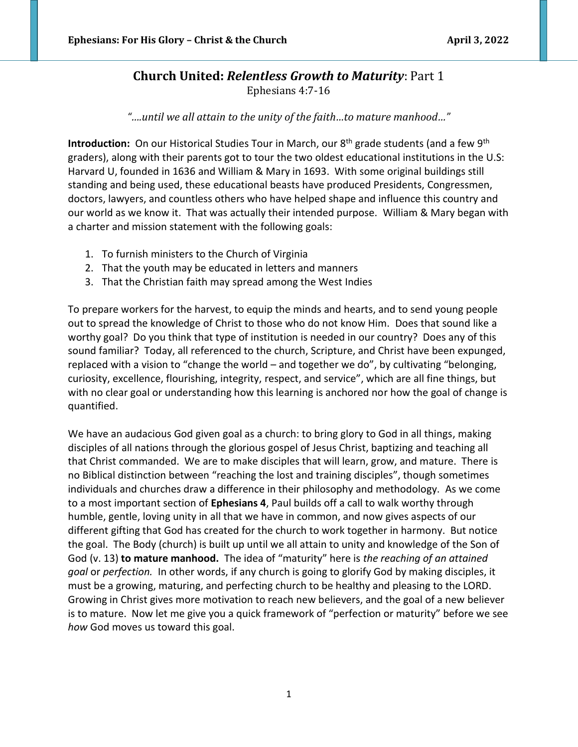# **Church United:** *Relentless Growth to Maturity*: Part 1 Ephesians 4:7-16

*"….until we all attain to the unity of the faith…to mature manhood…"*

**Introduction:** On our Historical Studies Tour in March, our 8<sup>th</sup> grade students (and a few 9<sup>th</sup> graders), along with their parents got to tour the two oldest educational institutions in the U.S: Harvard U, founded in 1636 and William & Mary in 1693. With some original buildings still standing and being used, these educational beasts have produced Presidents, Congressmen, doctors, lawyers, and countless others who have helped shape and influence this country and our world as we know it. That was actually their intended purpose. William & Mary began with a charter and mission statement with the following goals:

- 1. To furnish ministers to the Church of Virginia
- 2. That the youth may be educated in letters and manners
- 3. That the Christian faith may spread among the West Indies

To prepare workers for the harvest, to equip the minds and hearts, and to send young people out to spread the knowledge of Christ to those who do not know Him. Does that sound like a worthy goal? Do you think that type of institution is needed in our country? Does any of this sound familiar? Today, all referenced to the church, Scripture, and Christ have been expunged, replaced with a vision to "change the world – and together we do", by cultivating "belonging, curiosity, excellence, flourishing, integrity, respect, and service", which are all fine things, but with no clear goal or understanding how this learning is anchored nor how the goal of change is quantified.

We have an audacious God given goal as a church: to bring glory to God in all things, making disciples of all nations through the glorious gospel of Jesus Christ, baptizing and teaching all that Christ commanded. We are to make disciples that will learn, grow, and mature. There is no Biblical distinction between "reaching the lost and training disciples", though sometimes individuals and churches draw a difference in their philosophy and methodology. As we come to a most important section of **Ephesians 4**, Paul builds off a call to walk worthy through humble, gentle, loving unity in all that we have in common, and now gives aspects of our different gifting that God has created for the church to work together in harmony. But notice the goal. The Body (church) is built up until we all attain to unity and knowledge of the Son of God (v. 13) **to mature manhood.** The idea of "maturity" here is *the reaching of an attained goal* or *perfection.* In other words, if any church is going to glorify God by making disciples, it must be a growing, maturing, and perfecting church to be healthy and pleasing to the LORD. Growing in Christ gives more motivation to reach new believers, and the goal of a new believer is to mature. Now let me give you a quick framework of "perfection or maturity" before we see *how* God moves us toward this goal.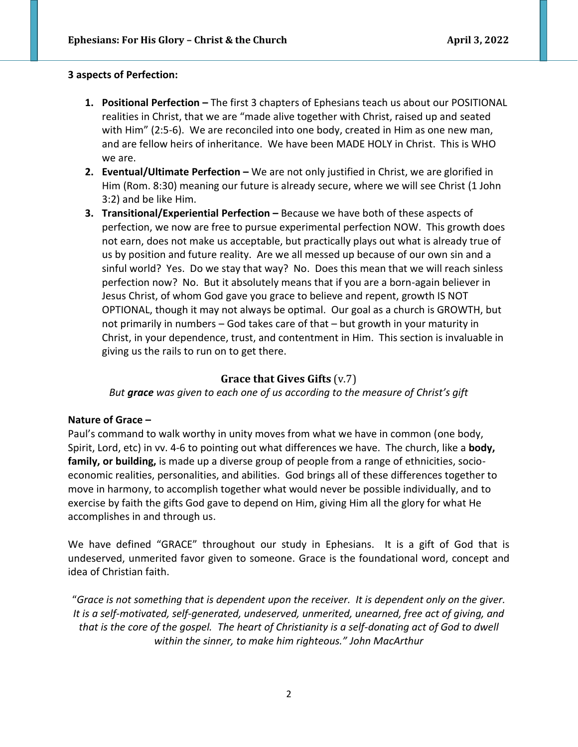#### **3 aspects of Perfection:**

- **1. Positional Perfection –** The first 3 chapters of Ephesians teach us about our POSITIONAL realities in Christ, that we are "made alive together with Christ, raised up and seated with Him" (2:5-6). We are reconciled into one body, created in Him as one new man, and are fellow heirs of inheritance. We have been MADE HOLY in Christ. This is WHO we are.
- **2. Eventual/Ultimate Perfection –** We are not only justified in Christ, we are glorified in Him (Rom. 8:30) meaning our future is already secure, where we will see Christ (1 John 3:2) and be like Him.
- **3. Transitional/Experiential Perfection –** Because we have both of these aspects of perfection, we now are free to pursue experimental perfection NOW. This growth does not earn, does not make us acceptable, but practically plays out what is already true of us by position and future reality. Are we all messed up because of our own sin and a sinful world? Yes. Do we stay that way? No. Does this mean that we will reach sinless perfection now? No. But it absolutely means that if you are a born-again believer in Jesus Christ, of whom God gave you grace to believe and repent, growth IS NOT OPTIONAL, though it may not always be optimal. Our goal as a church is GROWTH, but not primarily in numbers – God takes care of that – but growth in your maturity in Christ, in your dependence, trust, and contentment in Him. This section is invaluable in giving us the rails to run on to get there.

## **Grace that Gives Gifts** (v.7)

*But grace was given to each one of us according to the measure of Christ's gift*

### **Nature of Grace –**

Paul's command to walk worthy in unity moves from what we have in common (one body, Spirit, Lord, etc) in vv. 4-6 to pointing out what differences we have. The church, like a **body, family, or building,** is made up a diverse group of people from a range of ethnicities, socioeconomic realities, personalities, and abilities. God brings all of these differences together to move in harmony, to accomplish together what would never be possible individually, and to exercise by faith the gifts God gave to depend on Him, giving Him all the glory for what He accomplishes in and through us.

We have defined "GRACE" throughout our study in Ephesians. It is a gift of God that is undeserved, unmerited favor given to someone. Grace is the foundational word, concept and idea of Christian faith.

"*Grace is not something that is dependent upon the receiver. It is dependent only on the giver. It is a self-motivated, self-generated, undeserved, unmerited, unearned, free act of giving, and that is the core of the gospel. The heart of Christianity is a self-donating act of God to dwell within the sinner, to make him righteous." John MacArthur*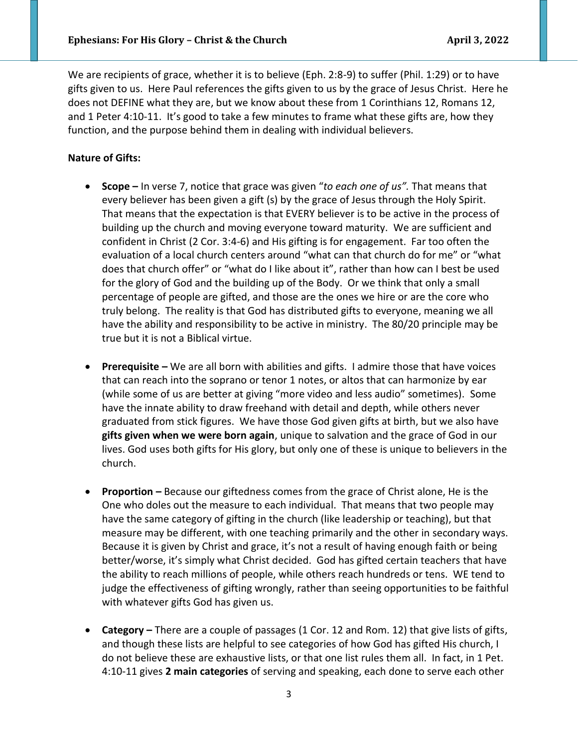We are recipients of grace, whether it is to believe (Eph. 2:8-9) to suffer (Phil. 1:29) or to have gifts given to us. Here Paul references the gifts given to us by the grace of Jesus Christ. Here he does not DEFINE what they are, but we know about these from 1 Corinthians 12, Romans 12, and 1 Peter 4:10-11. It's good to take a few minutes to frame what these gifts are, how they function, and the purpose behind them in dealing with individual believers.

#### **Nature of Gifts:**

- **Scope –** In verse 7, notice that grace was given "*to each one of us".* That means that every believer has been given a gift (s) by the grace of Jesus through the Holy Spirit. That means that the expectation is that EVERY believer is to be active in the process of building up the church and moving everyone toward maturity. We are sufficient and confident in Christ (2 Cor. 3:4-6) and His gifting is for engagement. Far too often the evaluation of a local church centers around "what can that church do for me" or "what does that church offer" or "what do I like about it", rather than how can I best be used for the glory of God and the building up of the Body. Or we think that only a small percentage of people are gifted, and those are the ones we hire or are the core who truly belong. The reality is that God has distributed gifts to everyone, meaning we all have the ability and responsibility to be active in ministry. The 80/20 principle may be true but it is not a Biblical virtue.
- **Prerequisite –** We are all born with abilities and gifts. I admire those that have voices that can reach into the soprano or tenor 1 notes, or altos that can harmonize by ear (while some of us are better at giving "more video and less audio" sometimes). Some have the innate ability to draw freehand with detail and depth, while others never graduated from stick figures. We have those God given gifts at birth, but we also have **gifts given when we were born again**, unique to salvation and the grace of God in our lives. God uses both gifts for His glory, but only one of these is unique to believers in the church.
- **Proportion –** Because our giftedness comes from the grace of Christ alone, He is the One who doles out the measure to each individual. That means that two people may have the same category of gifting in the church (like leadership or teaching), but that measure may be different, with one teaching primarily and the other in secondary ways. Because it is given by Christ and grace, it's not a result of having enough faith or being better/worse, it's simply what Christ decided. God has gifted certain teachers that have the ability to reach millions of people, while others reach hundreds or tens. WE tend to judge the effectiveness of gifting wrongly, rather than seeing opportunities to be faithful with whatever gifts God has given us.
- **Category –** There are a couple of passages (1 Cor. 12 and Rom. 12) that give lists of gifts, and though these lists are helpful to see categories of how God has gifted His church, I do not believe these are exhaustive lists, or that one list rules them all. In fact, in 1 Pet. 4:10-11 gives **2 main categories** of serving and speaking, each done to serve each other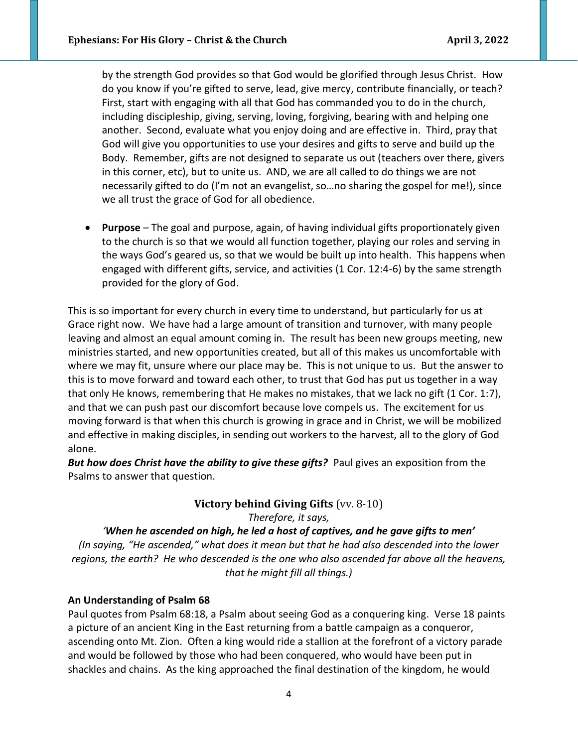by the strength God provides so that God would be glorified through Jesus Christ. How do you know if you're gifted to serve, lead, give mercy, contribute financially, or teach? First, start with engaging with all that God has commanded you to do in the church, including discipleship, giving, serving, loving, forgiving, bearing with and helping one another. Second, evaluate what you enjoy doing and are effective in. Third, pray that God will give you opportunities to use your desires and gifts to serve and build up the Body. Remember, gifts are not designed to separate us out (teachers over there, givers in this corner, etc), but to unite us. AND, we are all called to do things we are not necessarily gifted to do (I'm not an evangelist, so…no sharing the gospel for me!), since we all trust the grace of God for all obedience.

• **Purpose** – The goal and purpose, again, of having individual gifts proportionately given to the church is so that we would all function together, playing our roles and serving in the ways God's geared us, so that we would be built up into health. This happens when engaged with different gifts, service, and activities (1 Cor. 12:4-6) by the same strength provided for the glory of God.

This is so important for every church in every time to understand, but particularly for us at Grace right now. We have had a large amount of transition and turnover, with many people leaving and almost an equal amount coming in. The result has been new groups meeting, new ministries started, and new opportunities created, but all of this makes us uncomfortable with where we may fit, unsure where our place may be. This is not unique to us. But the answer to this is to move forward and toward each other, to trust that God has put us together in a way that only He knows, remembering that He makes no mistakes, that we lack no gift (1 Cor. 1:7), and that we can push past our discomfort because love compels us. The excitement for us moving forward is that when this church is growing in grace and in Christ, we will be mobilized and effective in making disciples, in sending out workers to the harvest, all to the glory of God alone.

*But how does Christ have the ability to give these gifts?* Paul gives an exposition from the Psalms to answer that question.

> **Victory behind Giving Gifts** (vv. 8-10) *Therefore, it says,*

*'When he ascended on high, he led a host of captives, and he gave gifts to men' (In saying, "He ascended," what does it mean but that he had also descended into the lower regions, the earth? He who descended is the one who also ascended far above all the heavens, that he might fill all things.)*

### **An Understanding of Psalm 68**

Paul quotes from Psalm 68:18, a Psalm about seeing God as a conquering king. Verse 18 paints a picture of an ancient King in the East returning from a battle campaign as a conqueror, ascending onto Mt. Zion. Often a king would ride a stallion at the forefront of a victory parade and would be followed by those who had been conquered, who would have been put in shackles and chains. As the king approached the final destination of the kingdom, he would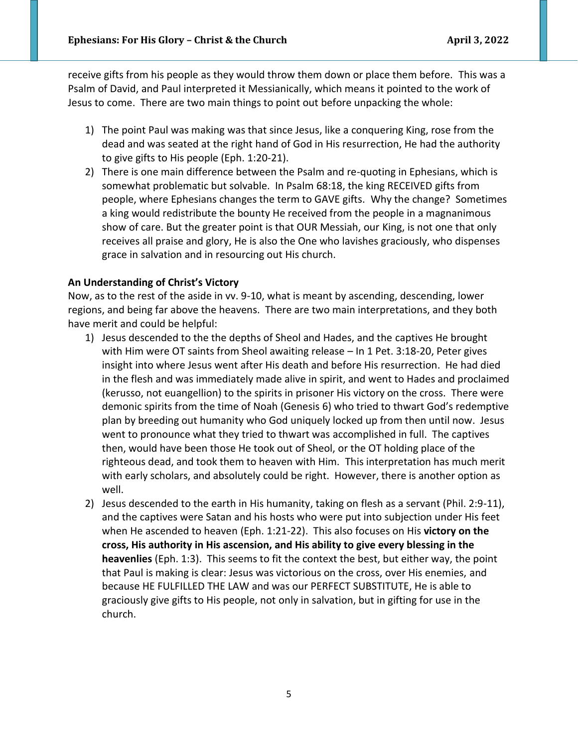receive gifts from his people as they would throw them down or place them before. This was a Psalm of David, and Paul interpreted it Messianically, which means it pointed to the work of Jesus to come. There are two main things to point out before unpacking the whole:

- 1) The point Paul was making was that since Jesus, like a conquering King, rose from the dead and was seated at the right hand of God in His resurrection, He had the authority to give gifts to His people (Eph. 1:20-21).
- 2) There is one main difference between the Psalm and re-quoting in Ephesians, which is somewhat problematic but solvable. In Psalm 68:18, the king RECEIVED gifts from people, where Ephesians changes the term to GAVE gifts. Why the change? Sometimes a king would redistribute the bounty He received from the people in a magnanimous show of care. But the greater point is that OUR Messiah, our King, is not one that only receives all praise and glory, He is also the One who lavishes graciously, who dispenses grace in salvation and in resourcing out His church.

#### **An Understanding of Christ's Victory**

Now, as to the rest of the aside in vv. 9-10, what is meant by ascending, descending, lower regions, and being far above the heavens. There are two main interpretations, and they both have merit and could be helpful:

- 1) Jesus descended to the the depths of Sheol and Hades, and the captives He brought with Him were OT saints from Sheol awaiting release – In 1 Pet. 3:18-20, Peter gives insight into where Jesus went after His death and before His resurrection. He had died in the flesh and was immediately made alive in spirit, and went to Hades and proclaimed (kerusso, not euangellion) to the spirits in prisoner His victory on the cross. There were demonic spirits from the time of Noah (Genesis 6) who tried to thwart God's redemptive plan by breeding out humanity who God uniquely locked up from then until now. Jesus went to pronounce what they tried to thwart was accomplished in full. The captives then, would have been those He took out of Sheol, or the OT holding place of the righteous dead, and took them to heaven with Him. This interpretation has much merit with early scholars, and absolutely could be right. However, there is another option as well.
- 2) Jesus descended to the earth in His humanity, taking on flesh as a servant (Phil. 2:9-11), and the captives were Satan and his hosts who were put into subjection under His feet when He ascended to heaven (Eph. 1:21-22). This also focuses on His **victory on the cross, His authority in His ascension, and His ability to give every blessing in the heavenlies** (Eph. 1:3). This seems to fit the context the best, but either way, the point that Paul is making is clear: Jesus was victorious on the cross, over His enemies, and because HE FULFILLED THE LAW and was our PERFECT SUBSTITUTE, He is able to graciously give gifts to His people, not only in salvation, but in gifting for use in the church.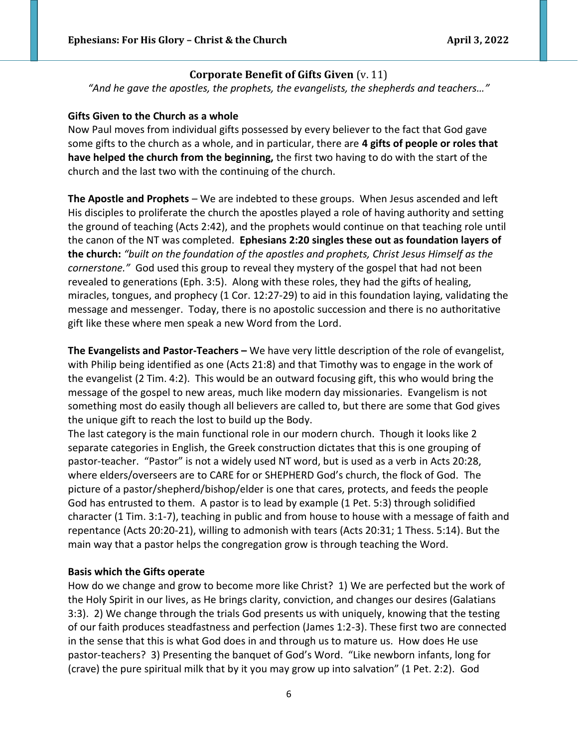# **Corporate Benefit of Gifts Given** (v. 11)

*"And he gave the apostles, the prophets, the evangelists, the shepherds and teachers…"*

#### **Gifts Given to the Church as a whole**

Now Paul moves from individual gifts possessed by every believer to the fact that God gave some gifts to the church as a whole, and in particular, there are **4 gifts of people or roles that have helped the church from the beginning,** the first two having to do with the start of the church and the last two with the continuing of the church.

**The Apostle and Prophets** – We are indebted to these groups. When Jesus ascended and left His disciples to proliferate the church the apostles played a role of having authority and setting the ground of teaching (Acts 2:42), and the prophets would continue on that teaching role until the canon of the NT was completed. **Ephesians 2:20 singles these out as foundation layers of the church:** *"built on the foundation of the apostles and prophets, Christ Jesus Himself as the cornerstone."* God used this group to reveal they mystery of the gospel that had not been revealed to generations (Eph. 3:5). Along with these roles, they had the gifts of healing, miracles, tongues, and prophecy (1 Cor. 12:27-29) to aid in this foundation laying, validating the message and messenger. Today, there is no apostolic succession and there is no authoritative gift like these where men speak a new Word from the Lord.

**The Evangelists and Pastor-Teachers –** We have very little description of the role of evangelist, with Philip being identified as one (Acts 21:8) and that Timothy was to engage in the work of the evangelist (2 Tim. 4:2). This would be an outward focusing gift, this who would bring the message of the gospel to new areas, much like modern day missionaries. Evangelism is not something most do easily though all believers are called to, but there are some that God gives the unique gift to reach the lost to build up the Body.

The last category is the main functional role in our modern church. Though it looks like 2 separate categories in English, the Greek construction dictates that this is one grouping of pastor-teacher. "Pastor" is not a widely used NT word, but is used as a verb in Acts 20:28, where elders/overseers are to CARE for or SHEPHERD God's church, the flock of God. The picture of a pastor/shepherd/bishop/elder is one that cares, protects, and feeds the people God has entrusted to them. A pastor is to lead by example (1 Pet. 5:3) through solidified character (1 Tim. 3:1-7), teaching in public and from house to house with a message of faith and repentance (Acts 20:20-21), willing to admonish with tears (Acts 20:31; 1 Thess. 5:14). But the main way that a pastor helps the congregation grow is through teaching the Word.

### **Basis which the Gifts operate**

How do we change and grow to become more like Christ? 1) We are perfected but the work of the Holy Spirit in our lives, as He brings clarity, conviction, and changes our desires (Galatians 3:3). 2) We change through the trials God presents us with uniquely, knowing that the testing of our faith produces steadfastness and perfection (James 1:2-3). These first two are connected in the sense that this is what God does in and through us to mature us. How does He use pastor-teachers? 3) Presenting the banquet of God's Word. "Like newborn infants, long for (crave) the pure spiritual milk that by it you may grow up into salvation" (1 Pet. 2:2). God